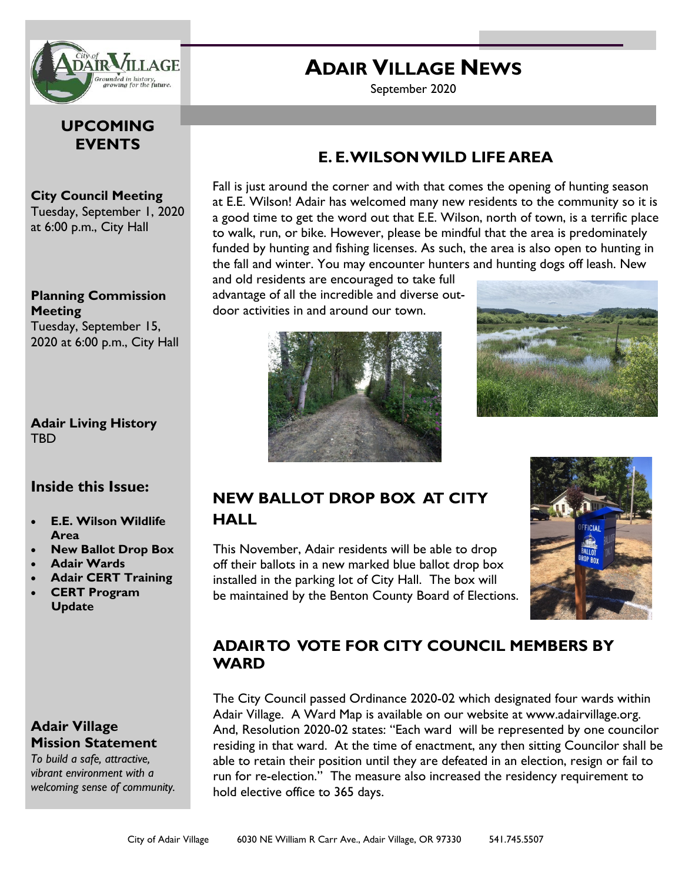

## **UPCOMING EVENTS**

#### **City Council Meeting**  Tuesday, September 1, 2020 at 6:00 p.m., City Hall

**Planning Commission Meeting**  Tuesday, September 15, 2020 at 6:00 p.m., City Hall

### **Adair Living History TRD**

## **Inside this Issue:**

- **E.E. Wilson Wildlife Area**
- **New Ballot Drop Box**
- **Adair Wards**
- **Adair CERT Training**
- **CERT Program Update**

## **Adair Village Mission Statement**

*To build a safe, attractive, vibrant environment with a welcoming sense of community.*

# **ADAIR VILLAGE NEWS**

September 2020

## **E. E. WILSON WILD LIFE AREA**

Fall is just around the corner and with that comes the opening of hunting season at E.E. Wilson! Adair has welcomed many new residents to the community so it is a good time to get the word out that E.E. Wilson, north of town, is a terrific place to walk, run, or bike. However, please be mindful that the area is predominately funded by hunting and fishing licenses. As such, the area is also open to hunting in the fall and winter. You may encounter hunters and hunting dogs off leash. New

and old residents are encouraged to take full advantage of all the incredible and diverse outdoor activities in and around our town.





# **NEW BALLOT DROP BOX AT CITY HALL**

This November, Adair residents will be able to drop off their ballots in a new marked blue ballot drop box installed in the parking lot of City Hall. The box will be maintained by the Benton County Board of Elections.



# **ADAIR TO VOTE FOR CITY COUNCIL MEMBERS BY WARD**

The City Council passed Ordinance 2020-02 which designated four wards within Adair Village. A Ward Map is available on our website at www.adairvillage.org. And, Resolution 2020-02 states: "Each ward will be represented by one councilor residing in that ward. At the time of enactment, any then sitting Councilor shall be able to retain their position until they are defeated in an election, resign or fail to run for re-election." The measure also increased the residency requirement to hold elective office to 365 days.